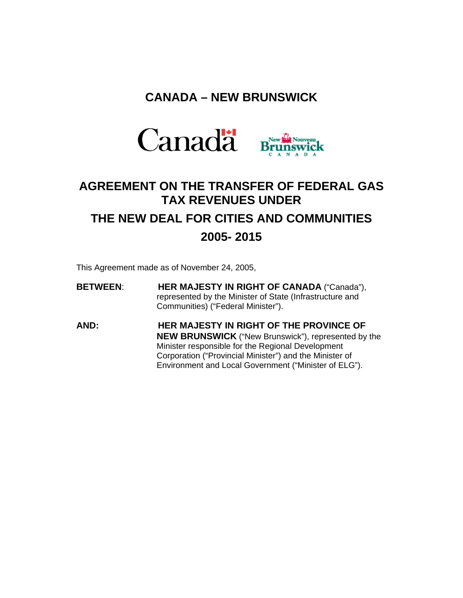# **CANADA – NEW BRUNSWICK**



# **AGREEMENT ON THE TRANSFER OF FEDERAL GAS TAX REVENUES UNDER THE NEW DEAL FOR CITIES AND COMMUNITIES 2005- 2015**

This Agreement made as of November 24, 2005,

- **BETWEEN**: **HER MAJESTY IN RIGHT OF CANADA** ("Canada"), represented by the Minister of State (Infrastructure and Communities) ("Federal Minister").
- **AND: HER MAJESTY IN RIGHT OF THE PROVINCE OF NEW BRUNSWICK** ("New Brunswick"), represented by the Minister responsible for the Regional Development Corporation ("Provincial Minister") and the Minister of Environment and Local Government ("Minister of ELG").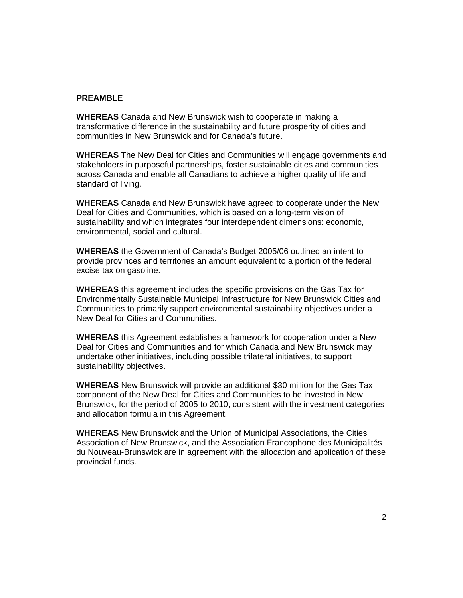#### **PREAMBLE**

**WHEREAS** Canada and New Brunswick wish to cooperate in making a transformative difference in the sustainability and future prosperity of cities and communities in New Brunswick and for Canada's future.

**WHEREAS** The New Deal for Cities and Communities will engage governments and stakeholders in purposeful partnerships, foster sustainable cities and communities across Canada and enable all Canadians to achieve a higher quality of life and standard of living.

**WHEREAS** Canada and New Brunswick have agreed to cooperate under the New Deal for Cities and Communities, which is based on a long-term vision of sustainability and which integrates four interdependent dimensions: economic, environmental, social and cultural.

**WHEREAS** the Government of Canada's Budget 2005/06 outlined an intent to provide provinces and territories an amount equivalent to a portion of the federal excise tax on gasoline.

**WHEREAS** this agreement includes the specific provisions on the Gas Tax for Environmentally Sustainable Municipal Infrastructure for New Brunswick Cities and Communities to primarily support environmental sustainability objectives under a New Deal for Cities and Communities.

**WHEREAS** this Agreement establishes a framework for cooperation under a New Deal for Cities and Communities and for which Canada and New Brunswick may undertake other initiatives, including possible trilateral initiatives, to support sustainability objectives.

**WHEREAS** New Brunswick will provide an additional \$30 million for the Gas Tax component of the New Deal for Cities and Communities to be invested in New Brunswick, for the period of 2005 to 2010, consistent with the investment categories and allocation formula in this Agreement.

**WHEREAS** New Brunswick and the Union of Municipal Associations, the Cities Association of New Brunswick, and the Association Francophone des Municipalités du Nouveau-Brunswick are in agreement with the allocation and application of these provincial funds.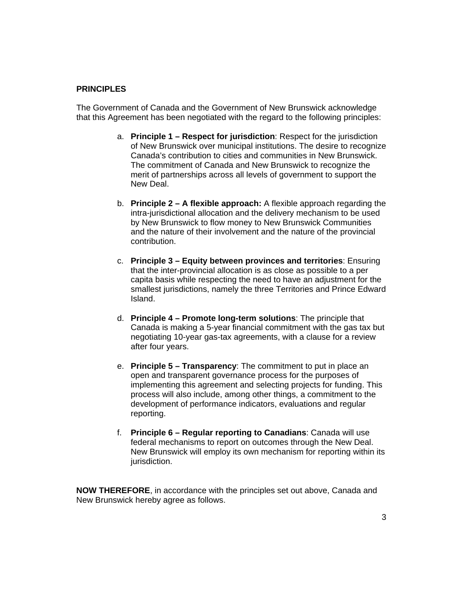## **PRINCIPLES**

The Government of Canada and the Government of New Brunswick acknowledge that this Agreement has been negotiated with the regard to the following principles:

- a. **Principle 1 Respect for jurisdiction**: Respect for the jurisdiction of New Brunswick over municipal institutions. The desire to recognize Canada's contribution to cities and communities in New Brunswick. The commitment of Canada and New Brunswick to recognize the merit of partnerships across all levels of government to support the New Deal.
- b. **Principle 2 A flexible approach:** A flexible approach regarding the intra-jurisdictional allocation and the delivery mechanism to be used by New Brunswick to flow money to New Brunswick Communities and the nature of their involvement and the nature of the provincial contribution.
- c. **Principle 3 Equity between provinces and territories**: Ensuring that the inter-provincial allocation is as close as possible to a per capita basis while respecting the need to have an adjustment for the smallest jurisdictions, namely the three Territories and Prince Edward Island.
- d. **Principle 4 Promote long-term solutions**: The principle that Canada is making a 5-year financial commitment with the gas tax but negotiating 10-year gas-tax agreements, with a clause for a review after four years.
- e. **Principle 5 Transparency**: The commitment to put in place an open and transparent governance process for the purposes of implementing this agreement and selecting projects for funding. This process will also include, among other things, a commitment to the development of performance indicators, evaluations and regular reporting.
- f. **Principle 6 Regular reporting to Canadians**: Canada will use federal mechanisms to report on outcomes through the New Deal. New Brunswick will employ its own mechanism for reporting within its jurisdiction.

**NOW THEREFORE**, in accordance with the principles set out above, Canada and New Brunswick hereby agree as follows.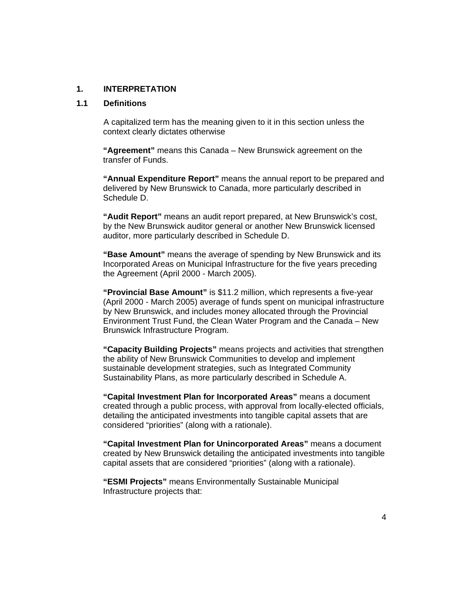#### **1. INTERPRETATION**

#### **1.1 Definitions**

A capitalized term has the meaning given to it in this section unless the context clearly dictates otherwise

**"Agreement"** means this Canada – New Brunswick agreement on the transfer of Funds.

**"Annual Expenditure Report"** means the annual report to be prepared and delivered by New Brunswick to Canada, more particularly described in Schedule D.

**"Audit Report"** means an audit report prepared, at New Brunswick's cost, by the New Brunswick auditor general or another New Brunswick licensed auditor, more particularly described in Schedule D.

**"Base Amount"** means the average of spending by New Brunswick and its Incorporated Areas on Municipal Infrastructure for the five years preceding the Agreement (April 2000 - March 2005).

**"Provincial Base Amount"** is \$11.2 million, which represents a five-year (April 2000 - March 2005) average of funds spent on municipal infrastructure by New Brunswick, and includes money allocated through the Provincial Environment Trust Fund, the Clean Water Program and the Canada – New Brunswick Infrastructure Program.

**"Capacity Building Projects"** means projects and activities that strengthen the ability of New Brunswick Communities to develop and implement sustainable development strategies, such as Integrated Community Sustainability Plans, as more particularly described in Schedule A.

**"Capital Investment Plan for Incorporated Areas"** means a document created through a public process, with approval from locally-elected officials, detailing the anticipated investments into tangible capital assets that are considered "priorities" (along with a rationale).

**"Capital Investment Plan for Unincorporated Areas"** means a document created by New Brunswick detailing the anticipated investments into tangible capital assets that are considered "priorities" (along with a rationale).

**"ESMI Projects"** means Environmentally Sustainable Municipal Infrastructure projects that: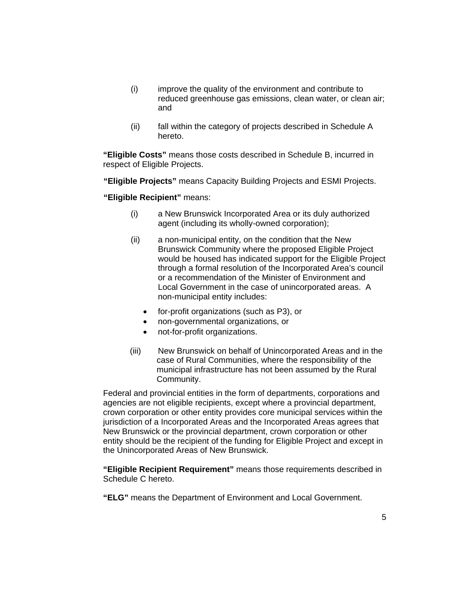- (i) improve the quality of the environment and contribute to reduced greenhouse gas emissions, clean water, or clean air; and
- (ii) fall within the category of projects described in Schedule A hereto.

**"Eligible Costs"** means those costs described in Schedule B, incurred in respect of Eligible Projects.

**"Eligible Projects"** means Capacity Building Projects and ESMI Projects.

**"Eligible Recipient"** means:

- (i) a New Brunswick Incorporated Area or its duly authorized agent (including its wholly-owned corporation);
- (ii) a non-municipal entity, on the condition that the New Brunswick Community where the proposed Eligible Project would be housed has indicated support for the Eligible Project through a formal resolution of the Incorporated Area's council or a recommendation of the Minister of Environment and Local Government in the case of unincorporated areas. A non-municipal entity includes:
	- for-profit organizations (such as P3), or
	- non-governmental organizations, or
	- not-for-profit organizations.
- (iii) New Brunswick on behalf of Unincorporated Areas and in the case of Rural Communities, where the responsibility of the municipal infrastructure has not been assumed by the Rural Community.

Federal and provincial entities in the form of departments, corporations and agencies are not eligible recipients, except where a provincial department, crown corporation or other entity provides core municipal services within the jurisdiction of a Incorporated Areas and the Incorporated Areas agrees that New Brunswick or the provincial department, crown corporation or other entity should be the recipient of the funding for Eligible Project and except in the Unincorporated Areas of New Brunswick.

**"Eligible Recipient Requirement"** means those requirements described in Schedule C hereto.

**"ELG"** means the Department of Environment and Local Government.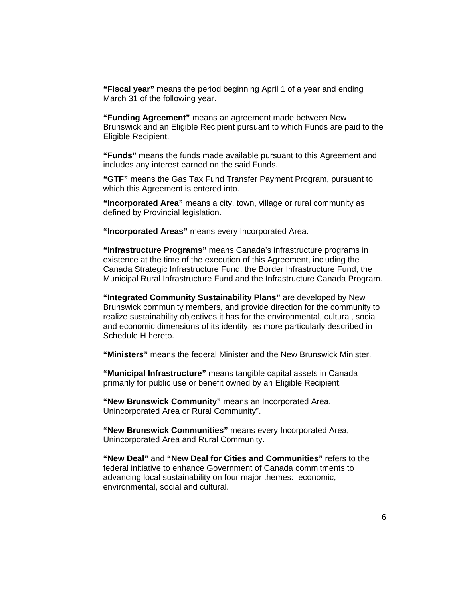**"Fiscal year"** means the period beginning April 1 of a year and ending March 31 of the following year.

**"Funding Agreement"** means an agreement made between New Brunswick and an Eligible Recipient pursuant to which Funds are paid to the Eligible Recipient.

**"Funds"** means the funds made available pursuant to this Agreement and includes any interest earned on the said Funds.

**"GTF"** means the Gas Tax Fund Transfer Payment Program, pursuant to which this Agreement is entered into.

**"Incorporated Area"** means a city, town, village or rural community as defined by Provincial legislation.

**"Incorporated Areas"** means every Incorporated Area.

**"Infrastructure Programs"** means Canada's infrastructure programs in existence at the time of the execution of this Agreement, including the Canada Strategic Infrastructure Fund, the Border Infrastructure Fund, the Municipal Rural Infrastructure Fund and the Infrastructure Canada Program.

**"Integrated Community Sustainability Plans"** are developed by New Brunswick community members, and provide direction for the community to realize sustainability objectives it has for the environmental, cultural, social and economic dimensions of its identity, as more particularly described in Schedule H hereto.

**"Ministers"** means the federal Minister and the New Brunswick Minister.

**"Municipal Infrastructure"** means tangible capital assets in Canada primarily for public use or benefit owned by an Eligible Recipient.

**"New Brunswick Community"** means an Incorporated Area, Unincorporated Area or Rural Community".

**"New Brunswick Communities"** means every Incorporated Area, Unincorporated Area and Rural Community.

**"New Deal"** and **"New Deal for Cities and Communities"** refers to the federal initiative to enhance Government of Canada commitments to advancing local sustainability on four major themes: economic, environmental, social and cultural.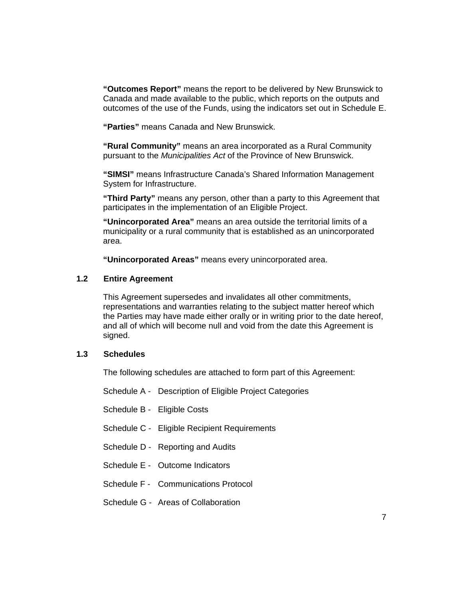**"Outcomes Report"** means the report to be delivered by New Brunswick to Canada and made available to the public, which reports on the outputs and outcomes of the use of the Funds, using the indicators set out in Schedule E.

**"Parties"** means Canada and New Brunswick.

**"Rural Community"** means an area incorporated as a Rural Community pursuant to the *Municipalities Act* of the Province of New Brunswick.

**"SIMSI"** means Infrastructure Canada's Shared Information Management System for Infrastructure.

**"Third Party"** means any person, other than a party to this Agreement that participates in the implementation of an Eligible Project.

**"Unincorporated Area"** means an area outside the territorial limits of a municipality or a rural community that is established as an unincorporated area.

**"Unincorporated Areas"** means every unincorporated area.

## **1.2 Entire Agreement**

This Agreement supersedes and invalidates all other commitments, representations and warranties relating to the subject matter hereof which the Parties may have made either orally or in writing prior to the date hereof, and all of which will become null and void from the date this Agreement is signed.

#### **1.3 Schedules**

The following schedules are attached to form part of this Agreement:

- Schedule A Description of Eligible Project Categories
- Schedule B Eligible Costs
- Schedule C Eligible Recipient Requirements
- Schedule D Reporting and Audits
- Schedule E Outcome Indicators
- Schedule F Communications Protocol
- Schedule G Areas of Collaboration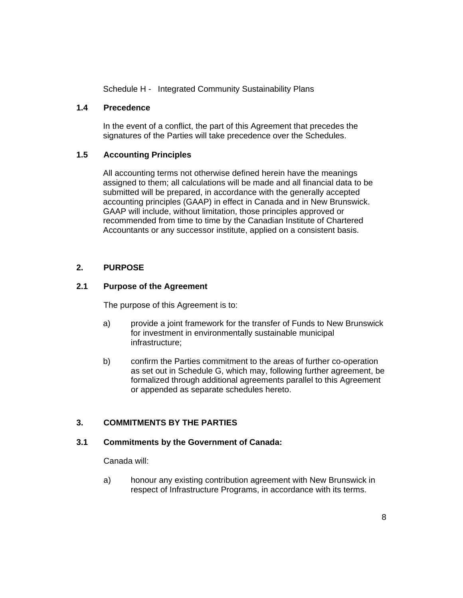Schedule H - Integrated Community Sustainability Plans

## **1.4 Precedence**

In the event of a conflict, the part of this Agreement that precedes the signatures of the Parties will take precedence over the Schedules.

## **1.5 Accounting Principles**

All accounting terms not otherwise defined herein have the meanings assigned to them; all calculations will be made and all financial data to be submitted will be prepared, in accordance with the generally accepted accounting principles (GAAP) in effect in Canada and in New Brunswick. GAAP will include, without limitation, those principles approved or recommended from time to time by the Canadian Institute of Chartered Accountants or any successor institute, applied on a consistent basis.

## **2. PURPOSE**

## **2.1 Purpose of the Agreement**

The purpose of this Agreement is to:

- a) provide a joint framework for the transfer of Funds to New Brunswick for investment in environmentally sustainable municipal infrastructure;
- b) confirm the Parties commitment to the areas of further co-operation as set out in Schedule G, which may, following further agreement, be formalized through additional agreements parallel to this Agreement or appended as separate schedules hereto.

## **3. COMMITMENTS BY THE PARTIES**

#### **3.1 Commitments by the Government of Canada:**

Canada will:

a) honour any existing contribution agreement with New Brunswick in respect of Infrastructure Programs, in accordance with its terms.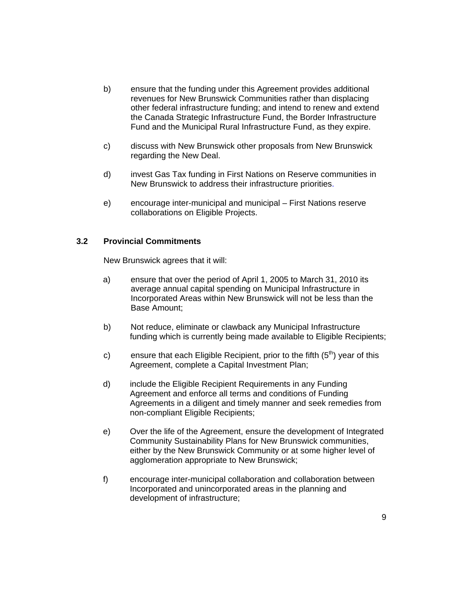- b) ensure that the funding under this Agreement provides additional revenues for New Brunswick Communities rather than displacing other federal infrastructure funding; and intend to renew and extend the Canada Strategic Infrastructure Fund, the Border Infrastructure Fund and the Municipal Rural Infrastructure Fund, as they expire.
- c) discuss with New Brunswick other proposals from New Brunswick regarding the New Deal.
- d) invest Gas Tax funding in First Nations on Reserve communities in New Brunswick to address their infrastructure priorities.
- e) encourage inter-municipal and municipal First Nations reserve collaborations on Eligible Projects.

#### **3.2 Provincial Commitments**

New Brunswick agrees that it will:

- a) ensure that over the period of April 1, 2005 to March 31, 2010 its average annual capital spending on Municipal Infrastructure in Incorporated Areas within New Brunswick will not be less than the Base Amount;
- b) Not reduce, eliminate or clawback any Municipal Infrastructure funding which is currently being made available to Eligible Recipients;
- c) ensure that each Eligible Recipient, prior to the fifth  $(5<sup>th</sup>)$  year of this Agreement, complete a Capital Investment Plan;
- d) include the Eligible Recipient Requirements in any Funding Agreement and enforce all terms and conditions of Funding Agreements in a diligent and timely manner and seek remedies from non-compliant Eligible Recipients;
- e) Over the life of the Agreement, ensure the development of Integrated Community Sustainability Plans for New Brunswick communities, either by the New Brunswick Community or at some higher level of agglomeration appropriate to New Brunswick;
- f) encourage inter-municipal collaboration and collaboration between Incorporated and unincorporated areas in the planning and development of infrastructure;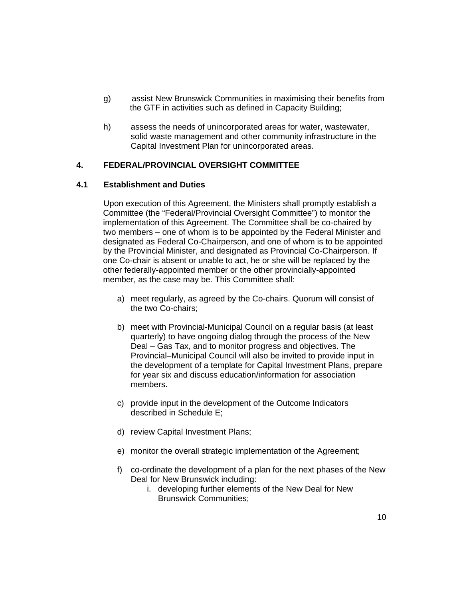- g) assist New Brunswick Communities in maximising their benefits from the GTF in activities such as defined in Capacity Building;
- h) assess the needs of unincorporated areas for water, wastewater, solid waste management and other community infrastructure in the Capital Investment Plan for unincorporated areas.

#### **4. FEDERAL/PROVINCIAL OVERSIGHT COMMITTEE**

#### **4.1 Establishment and Duties**

Upon execution of this Agreement, the Ministers shall promptly establish a Committee (the "Federal/Provincial Oversight Committee") to monitor the implementation of this Agreement. The Committee shall be co-chaired by two members – one of whom is to be appointed by the Federal Minister and designated as Federal Co-Chairperson, and one of whom is to be appointed by the Provincial Minister, and designated as Provincial Co-Chairperson. If one Co-chair is absent or unable to act, he or she will be replaced by the other federally-appointed member or the other provincially-appointed member, as the case may be. This Committee shall:

- a) meet regularly, as agreed by the Co-chairs. Quorum will consist of the two Co-chairs;
- b) meet with Provincial-Municipal Council on a regular basis (at least quarterly) to have ongoing dialog through the process of the New Deal – Gas Tax, and to monitor progress and objectives. The Provincial–Municipal Council will also be invited to provide input in the development of a template for Capital Investment Plans, prepare for year six and discuss education/information for association members.
- c) provide input in the development of the Outcome Indicators described in Schedule E;
- d) review Capital Investment Plans;
- e) monitor the overall strategic implementation of the Agreement;
- f) co-ordinate the development of a plan for the next phases of the New Deal for New Brunswick including:
	- i. developing further elements of the New Deal for New Brunswick Communities;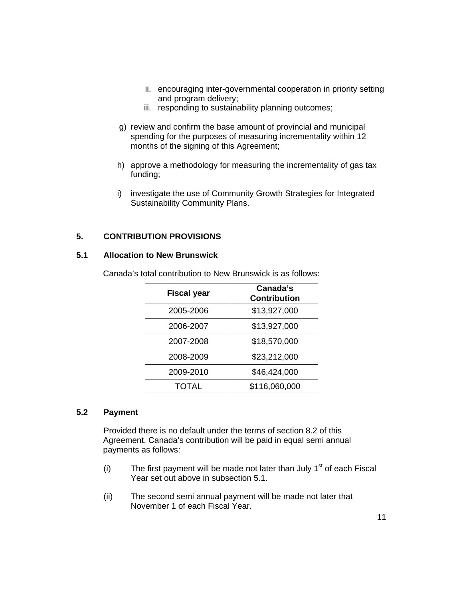- ii. encouraging inter-governmental cooperation in priority setting and program delivery;
- iii. responding to sustainability planning outcomes;
- g) review and confirm the base amount of provincial and municipal spending for the purposes of measuring incrementality within 12 months of the signing of this Agreement;
- h) approve a methodology for measuring the incrementality of gas tax funding;
- i) investigate the use of Community Growth Strategies for Integrated Sustainability Community Plans.

## **5. CONTRIBUTION PROVISIONS**

#### **5.1 Allocation to New Brunswick**

| <b>Fiscal year</b> | Canada's<br><b>Contribution</b> |  |  |
|--------------------|---------------------------------|--|--|
| 2005-2006          | \$13,927,000                    |  |  |
| 2006-2007          | \$13,927,000                    |  |  |
| 2007-2008          | \$18,570,000                    |  |  |
| 2008-2009          | \$23,212,000                    |  |  |
| 2009-2010          | \$46,424,000                    |  |  |
| TOTAL              | \$116,060,000                   |  |  |

Canada's total contribution to New Brunswick is as follows:

#### **5.2 Payment**

Provided there is no default under the terms of section 8.2 of this Agreement, Canada's contribution will be paid in equal semi annual payments as follows:

- (i) The first payment will be made not later than July  $1<sup>st</sup>$  of each Fiscal Year set out above in subsection 5.1.
- (ii) The second semi annual payment will be made not later that November 1 of each Fiscal Year.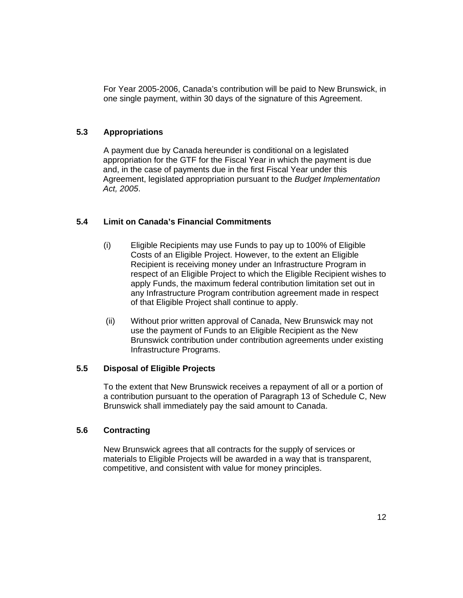For Year 2005-2006, Canada's contribution will be paid to New Brunswick, in one single payment, within 30 days of the signature of this Agreement.

## **5.3 Appropriations**

A payment due by Canada hereunder is conditional on a legislated appropriation for the GTF for the Fiscal Year in which the payment is due and, in the case of payments due in the first Fiscal Year under this Agreement, legislated appropriation pursuant to the *Budget Implementation Act, 2005*.

## **5.4 Limit on Canada's Financial Commitments**

- (i) Eligible Recipients may use Funds to pay up to 100% of Eligible Costs of an Eligible Project. However, to the extent an Eligible Recipient is receiving money under an Infrastructure Program in respect of an Eligible Project to which the Eligible Recipient wishes to apply Funds, the maximum federal contribution limitation set out in any Infrastructure Program contribution agreement made in respect of that Eligible Project shall continue to apply.
- (ii) Without prior written approval of Canada, New Brunswick may not use the payment of Funds to an Eligible Recipient as the New Brunswick contribution under contribution agreements under existing Infrastructure Programs.

## **5.5 Disposal of Eligible Projects**

To the extent that New Brunswick receives a repayment of all or a portion of a contribution pursuant to the operation of Paragraph 13 of Schedule C, New Brunswick shall immediately pay the said amount to Canada.

## **5.6 Contracting**

 New Brunswick agrees that all contracts for the supply of services or materials to Eligible Projects will be awarded in a way that is transparent, competitive, and consistent with value for money principles.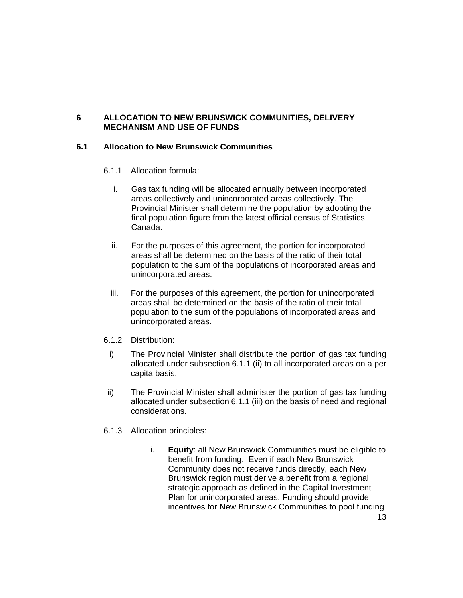## **6 ALLOCATION TO NEW BRUNSWICK COMMUNITIES, DELIVERY MECHANISM AND USE OF FUNDS**

## **6.1 Allocation to New Brunswick Communities**

- 6.1.1 Allocation formula:
	- i. Gas tax funding will be allocated annually between incorporated areas collectively and unincorporated areas collectively. The Provincial Minister shall determine the population by adopting the final population figure from the latest official census of Statistics Canada.
	- ii. For the purposes of this agreement, the portion for incorporated areas shall be determined on the basis of the ratio of their total population to the sum of the populations of incorporated areas and unincorporated areas.
	- iii. For the purposes of this agreement, the portion for unincorporated areas shall be determined on the basis of the ratio of their total population to the sum of the populations of incorporated areas and unincorporated areas.
- 6.1.2 Distribution:
	- i) The Provincial Minister shall distribute the portion of gas tax funding allocated under subsection 6.1.1 (ii) to all incorporated areas on a per capita basis.
- ii) The Provincial Minister shall administer the portion of gas tax funding allocated under subsection 6.1.1 (iii) on the basis of need and regional considerations.
- 6.1.3 Allocation principles:
	- i. **Equity**: all New Brunswick Communities must be eligible to benefit from funding. Even if each New Brunswick Community does not receive funds directly, each New Brunswick region must derive a benefit from a regional strategic approach as defined in the Capital Investment Plan for unincorporated areas. Funding should provide incentives for New Brunswick Communities to pool funding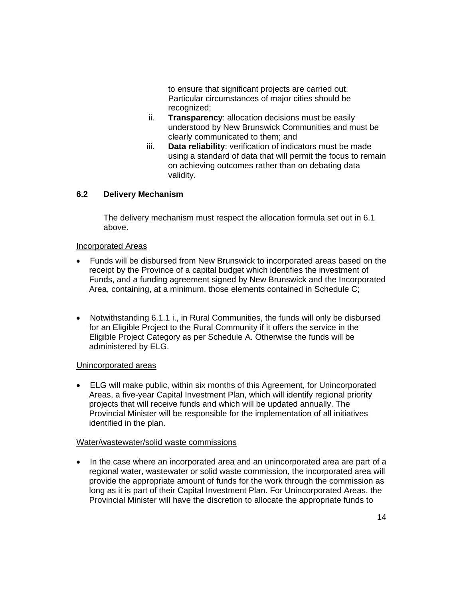to ensure that significant projects are carried out. Particular circumstances of major cities should be recognized;

- ii. **Transparency**: allocation decisions must be easily understood by New Brunswick Communities and must be clearly communicated to them; and
- iii. **Data reliability**: verification of indicators must be made using a standard of data that will permit the focus to remain on achieving outcomes rather than on debating data validity.

#### **6.2 Delivery Mechanism**

The delivery mechanism must respect the allocation formula set out in 6.1 above.

#### Incorporated Areas

- Funds will be disbursed from New Brunswick to incorporated areas based on the receipt by the Province of a capital budget which identifies the investment of Funds, and a funding agreement signed by New Brunswick and the Incorporated Area, containing, at a minimum, those elements contained in Schedule C;
- Notwithstanding 6.1.1 i., in Rural Communities, the funds will only be disbursed for an Eligible Project to the Rural Community if it offers the service in the Eligible Project Category as per Schedule A. Otherwise the funds will be administered by ELG.

## Unincorporated areas

• ELG will make public, within six months of this Agreement, for Unincorporated Areas, a five-year Capital Investment Plan, which will identify regional priority projects that will receive funds and which will be updated annually. The Provincial Minister will be responsible for the implementation of all initiatives identified in the plan.

#### Water/wastewater/solid waste commissions

• In the case where an incorporated area and an unincorporated area are part of a regional water, wastewater or solid waste commission, the incorporated area will provide the appropriate amount of funds for the work through the commission as long as it is part of their Capital Investment Plan. For Unincorporated Areas, the Provincial Minister will have the discretion to allocate the appropriate funds to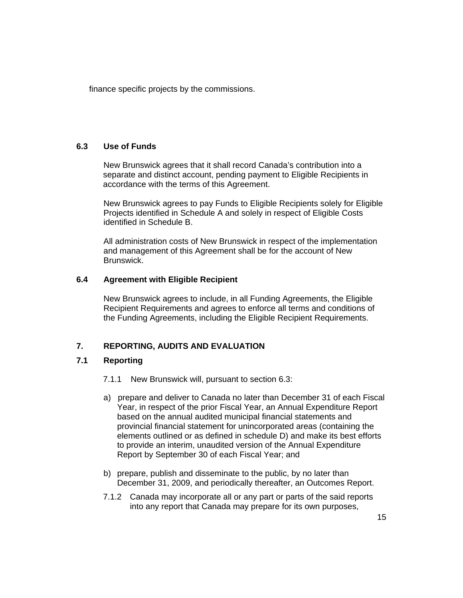finance specific projects by the commissions.

## **6.3 Use of Funds**

New Brunswick agrees that it shall record Canada's contribution into a separate and distinct account, pending payment to Eligible Recipients in accordance with the terms of this Agreement.

New Brunswick agrees to pay Funds to Eligible Recipients solely for Eligible Projects identified in Schedule A and solely in respect of Eligible Costs identified in Schedule B.

All administration costs of New Brunswick in respect of the implementation and management of this Agreement shall be for the account of New Brunswick.

#### **6.4 Agreement with Eligible Recipient**

New Brunswick agrees to include, in all Funding Agreements, the Eligible Recipient Requirements and agrees to enforce all terms and conditions of the Funding Agreements, including the Eligible Recipient Requirements.

## **7. REPORTING, AUDITS AND EVALUATION**

#### **7.1 Reporting**

- 7.1.1 New Brunswick will, pursuant to section 6.3:
- a) prepare and deliver to Canada no later than December 31 of each Fiscal Year, in respect of the prior Fiscal Year, an Annual Expenditure Report based on the annual audited municipal financial statements and provincial financial statement for unincorporated areas (containing the elements outlined or as defined in schedule D) and make its best efforts to provide an interim, unaudited version of the Annual Expenditure Report by September 30 of each Fiscal Year; and
- b) prepare, publish and disseminate to the public, by no later than December 31, 2009, and periodically thereafter, an Outcomes Report.
- 7.1.2 Canada may incorporate all or any part or parts of the said reports into any report that Canada may prepare for its own purposes,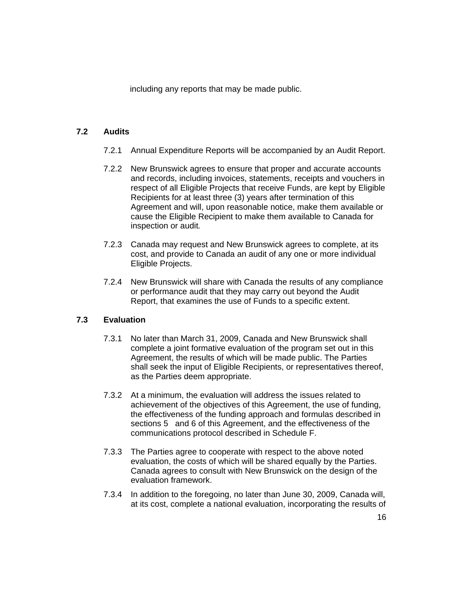including any reports that may be made public.

## **7.2 Audits**

- 7.2.1 Annual Expenditure Reports will be accompanied by an Audit Report.
- 7.2.2 New Brunswick agrees to ensure that proper and accurate accounts and records, including invoices, statements, receipts and vouchers in respect of all Eligible Projects that receive Funds, are kept by Eligible Recipients for at least three (3) years after termination of this Agreement and will, upon reasonable notice, make them available or cause the Eligible Recipient to make them available to Canada for inspection or audit*.*
- 7.2.3 Canada may request and New Brunswick agrees to complete, at its cost, and provide to Canada an audit of any one or more individual Eligible Projects.
- 7.2.4 New Brunswick will share with Canada the results of any compliance or performance audit that they may carry out beyond the Audit Report, that examines the use of Funds to a specific extent.

## **7.3 Evaluation**

- 7.3.1 No later than March 31, 2009, Canada and New Brunswick shall complete a joint formative evaluation of the program set out in this Agreement, the results of which will be made public. The Parties shall seek the input of Eligible Recipients, or representatives thereof, as the Parties deem appropriate.
- 7.3.2 At a minimum, the evaluation will address the issues related to achievement of the objectives of this Agreement, the use of funding, the effectiveness of the funding approach and formulas described in sections 5 and 6 of this Agreement, and the effectiveness of the communications protocol described in Schedule F.
- 7.3.3 The Parties agree to cooperate with respect to the above noted evaluation, the costs of which will be shared equally by the Parties. Canada agrees to consult with New Brunswick on the design of the evaluation framework.
- 7.3.4 In addition to the foregoing, no later than June 30, 2009, Canada will, at its cost, complete a national evaluation, incorporating the results of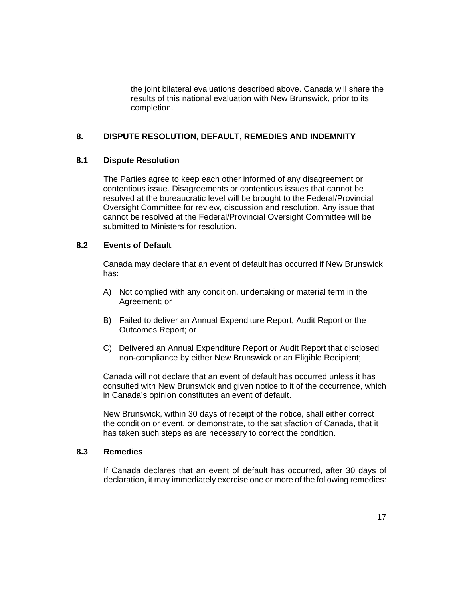the joint bilateral evaluations described above. Canada will share the results of this national evaluation with New Brunswick, prior to its completion.

## **8. DISPUTE RESOLUTION, DEFAULT, REMEDIES AND INDEMNITY**

#### **8.1 Dispute Resolution**

The Parties agree to keep each other informed of any disagreement or contentious issue. Disagreements or contentious issues that cannot be resolved at the bureaucratic level will be brought to the Federal/Provincial Oversight Committee for review, discussion and resolution. Any issue that cannot be resolved at the Federal/Provincial Oversight Committee will be submitted to Ministers for resolution.

#### **8.2 Events of Default**

Canada may declare that an event of default has occurred if New Brunswick has:

- A) Not complied with any condition, undertaking or material term in the Agreement; or
- B) Failed to deliver an Annual Expenditure Report, Audit Report or the Outcomes Report; or
- C) Delivered an Annual Expenditure Report or Audit Report that disclosed non-compliance by either New Brunswick or an Eligible Recipient;

Canada will not declare that an event of default has occurred unless it has consulted with New Brunswick and given notice to it of the occurrence, which in Canada's opinion constitutes an event of default.

New Brunswick, within 30 days of receipt of the notice, shall either correct the condition or event, or demonstrate, to the satisfaction of Canada, that it has taken such steps as are necessary to correct the condition.

#### **8.3 Remedies**

If Canada declares that an event of default has occurred, after 30 days of declaration, it may immediately exercise one or more of the following remedies: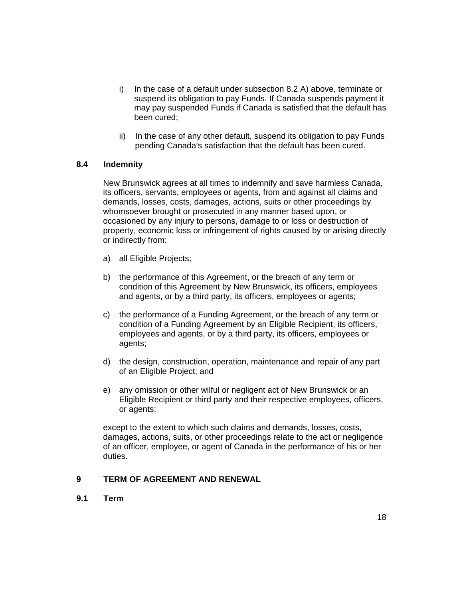- i) In the case of a default under subsection 8.2 A) above, terminate or suspend its obligation to pay Funds. If Canada suspends payment it may pay suspended Funds if Canada is satisfied that the default has been cured;
- ii) In the case of any other default, suspend its obligation to pay Funds pending Canada's satisfaction that the default has been cured.

## **8.4 Indemnity**

New Brunswick agrees at all times to indemnify and save harmless Canada, its officers, servants, employees or agents, from and against all claims and demands, losses, costs, damages, actions, suits or other proceedings by whomsoever brought or prosecuted in any manner based upon, or occasioned by any injury to persons, damage to or loss or destruction of property, economic loss or infringement of rights caused by or arising directly or indirectly from:

- a) all Eligible Projects;
- b) the performance of this Agreement, or the breach of any term or condition of this Agreement by New Brunswick, its officers, employees and agents, or by a third party, its officers, employees or agents;
- c) the performance of a Funding Agreement, or the breach of any term or condition of a Funding Agreement by an Eligible Recipient, its officers, employees and agents, or by a third party, its officers, employees or agents;
- d) the design, construction, operation, maintenance and repair of any part of an Eligible Project; and
- e) any omission or other wilful or negligent act of New Brunswick or an Eligible Recipient or third party and their respective employees, officers, or agents;

except to the extent to which such claims and demands, losses, costs, damages, actions, suits, or other proceedings relate to the act or negligence of an officer, employee, or agent of Canada in the performance of his or her duties.

## **9 TERM OF AGREEMENT AND RENEWAL**

## **9.1 Term**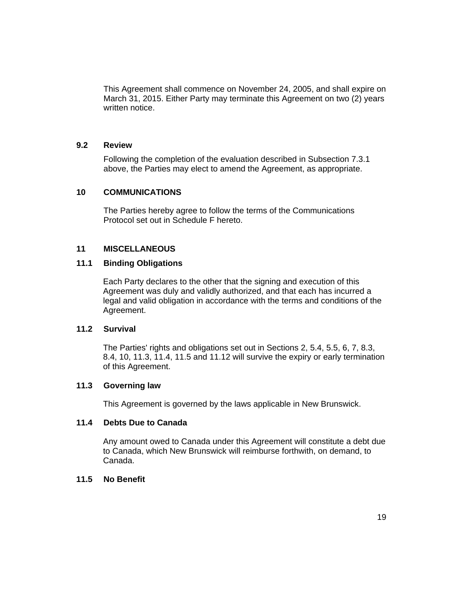This Agreement shall commence on November 24, 2005, and shall expire on March 31, 2015. Either Party may terminate this Agreement on two (2) years written notice.

#### **9.2 Review**

Following the completion of the evaluation described in Subsection 7.3.1 above, the Parties may elect to amend the Agreement, as appropriate.

### **10 COMMUNICATIONS**

The Parties hereby agree to follow the terms of the Communications Protocol set out in Schedule F hereto.

## **11 MISCELLANEOUS**

#### **11.1 Binding Obligations**

Each Party declares to the other that the signing and execution of this Agreement was duly and validly authorized, and that each has incurred a legal and valid obligation in accordance with the terms and conditions of the Agreement.

#### **11.2 Survival**

The Parties' rights and obligations set out in Sections 2, 5.4, 5.5, 6, 7, 8.3, 8.4, 10, 11.3, 11.4, 11.5 and 11.12 will survive the expiry or early termination of this Agreement.

## **11.3 Governing law**

This Agreement is governed by the laws applicable in New Brunswick.

#### **11.4 Debts Due to Canada**

Any amount owed to Canada under this Agreement will constitute a debt due to Canada, which New Brunswick will reimburse forthwith, on demand, to Canada.

#### **11.5 No Benefit**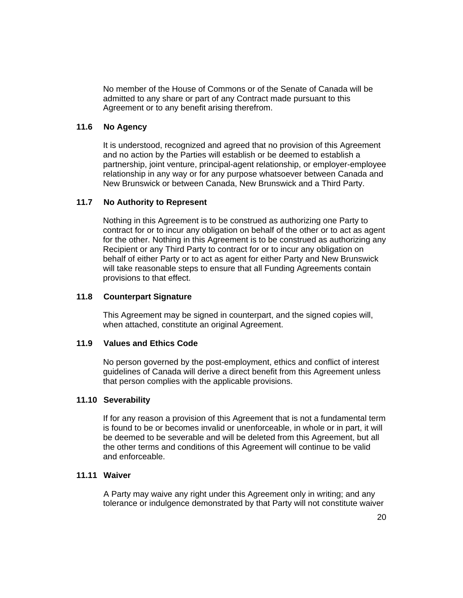No member of the House of Commons or of the Senate of Canada will be admitted to any share or part of any Contract made pursuant to this Agreement or to any benefit arising therefrom.

### **11.6 No Agency**

It is understood, recognized and agreed that no provision of this Agreement and no action by the Parties will establish or be deemed to establish a partnership, joint venture, principal-agent relationship, or employer-employee relationship in any way or for any purpose whatsoever between Canada and New Brunswick or between Canada, New Brunswick and a Third Party.

#### **11.7 No Authority to Represent**

Nothing in this Agreement is to be construed as authorizing one Party to contract for or to incur any obligation on behalf of the other or to act as agent for the other. Nothing in this Agreement is to be construed as authorizing any Recipient or any Third Party to contract for or to incur any obligation on behalf of either Party or to act as agent for either Party and New Brunswick will take reasonable steps to ensure that all Funding Agreements contain provisions to that effect.

#### **11.8 Counterpart Signature**

This Agreement may be signed in counterpart, and the signed copies will, when attached, constitute an original Agreement.

#### **11.9 Values and Ethics Code**

No person governed by the post-employment, ethics and conflict of interest guidelines of Canada will derive a direct benefit from this Agreement unless that person complies with the applicable provisions.

#### **11.10 Severability**

If for any reason a provision of this Agreement that is not a fundamental term is found to be or becomes invalid or unenforceable, in whole or in part, it will be deemed to be severable and will be deleted from this Agreement, but all the other terms and conditions of this Agreement will continue to be valid and enforceable.

## **11.11 Waiver**

A Party may waive any right under this Agreement only in writing; and any tolerance or indulgence demonstrated by that Party will not constitute waiver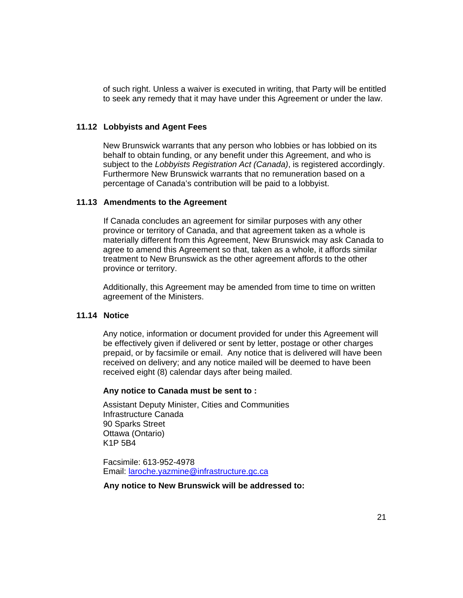of such right. Unless a waiver is executed in writing, that Party will be entitled to seek any remedy that it may have under this Agreement or under the law.

#### **11.12 Lobbyists and Agent Fees**

New Brunswick warrants that any person who lobbies or has lobbied on its behalf to obtain funding, or any benefit under this Agreement, and who is subject to the *Lobbyists Registration Act (Canada)*, is registered accordingly. Furthermore New Brunswick warrants that no remuneration based on a percentage of Canada's contribution will be paid to a lobbyist.

#### **11.13 Amendments to the Agreement**

If Canada concludes an agreement for similar purposes with any other province or territory of Canada, and that agreement taken as a whole is materially different from this Agreement, New Brunswick may ask Canada to agree to amend this Agreement so that, taken as a whole, it affords similar treatment to New Brunswick as the other agreement affords to the other province or territory.

Additionally, this Agreement may be amended from time to time on written agreement of the Ministers.

#### **11.14 Notice**

Any notice, information or document provided for under this Agreement will be effectively given if delivered or sent by letter, postage or other charges prepaid, or by facsimile or email. Any notice that is delivered will have been received on delivery; and any notice mailed will be deemed to have been received eight (8) calendar days after being mailed.

#### **Any notice to Canada must be sent to :**

Assistant Deputy Minister, Cities and Communities Infrastructure Canada 90 Sparks Street Ottawa (Ontario) K1P 5B4

Facsimile: 613-952-4978 Email: [laroche.yazmine@infrastructure.gc.ca](mailto:laroche.yazmine@infrastructure.gc.ca)

**Any notice to New Brunswick will be addressed to:**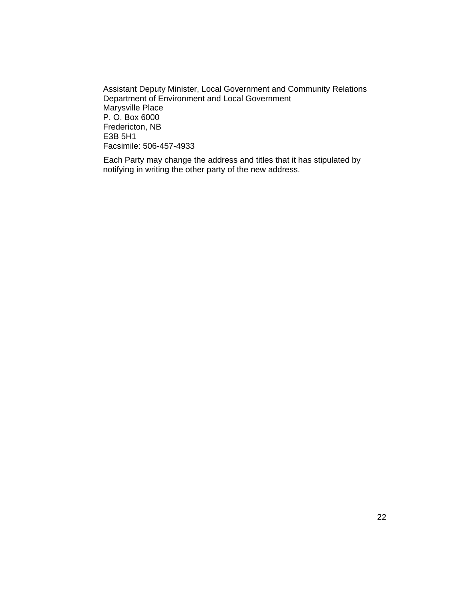Assistant Deputy Minister, Local Government and Community Relations Department of Environment and Local Government Marysville Place P. O. Box 6000 Fredericton, NB E3B 5H1 Facsimile: 506-457-4933

 Each Party may change the address and titles that it has stipulated by notifying in writing the other party of the new address.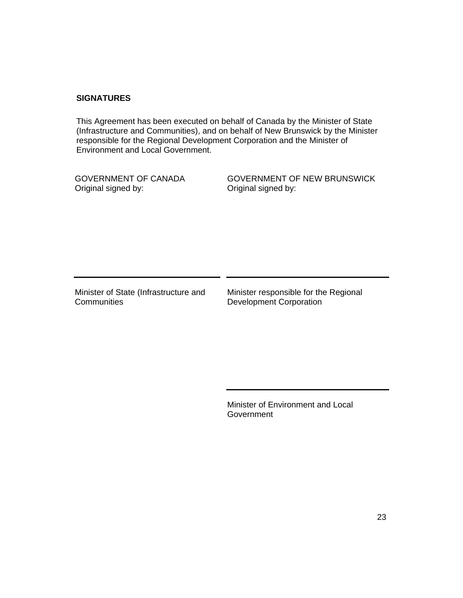#### **SIGNATURES**

This Agreement has been executed on behalf of Canada by the Minister of State (Infrastructure and Communities), and on behalf of New Brunswick by the Minister responsible for the Regional Development Corporation and the Minister of Environment and Local Government.

GOVERNMENT OF CANADA Original signed by:

GOVERNMENT OF NEW BRUNSWICK Original signed by:

Minister of State (Infrastructure and **Communities** 

Minister responsible for the Regional Development Corporation

Minister of Environment and Local Government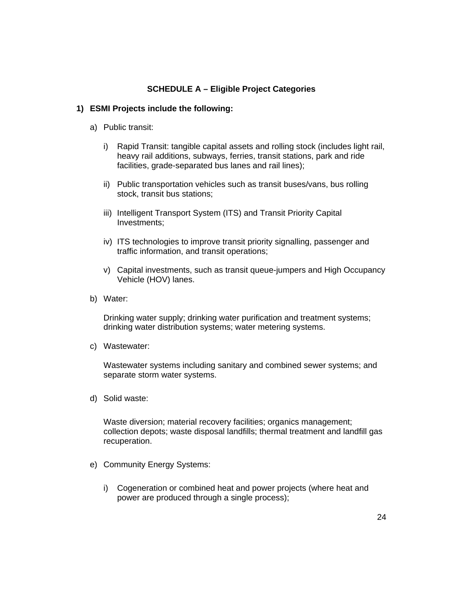## **SCHEDULE A – Eligible Project Categories**

#### **1) ESMI Projects include the following:**

- a) Public transit:
	- i) Rapid Transit: tangible capital assets and rolling stock (includes light rail, heavy rail additions, subways, ferries, transit stations, park and ride facilities, grade-separated bus lanes and rail lines);
	- ii) Public transportation vehicles such as transit buses/vans, bus rolling stock, transit bus stations;
	- iii) Intelligent Transport System (ITS) and Transit Priority Capital Investments;
	- iv) ITS technologies to improve transit priority signalling, passenger and traffic information, and transit operations;
	- v) Capital investments, such as transit queue-jumpers and High Occupancy Vehicle (HOV) lanes.
- b) Water:

Drinking water supply; drinking water purification and treatment systems; drinking water distribution systems; water metering systems.

c) Wastewater:

Wastewater systems including sanitary and combined sewer systems; and separate storm water systems.

d) Solid waste:

Waste diversion; material recovery facilities; organics management; collection depots; waste disposal landfills; thermal treatment and landfill gas recuperation.

- e) Community Energy Systems:
	- i) Cogeneration or combined heat and power projects (where heat and power are produced through a single process);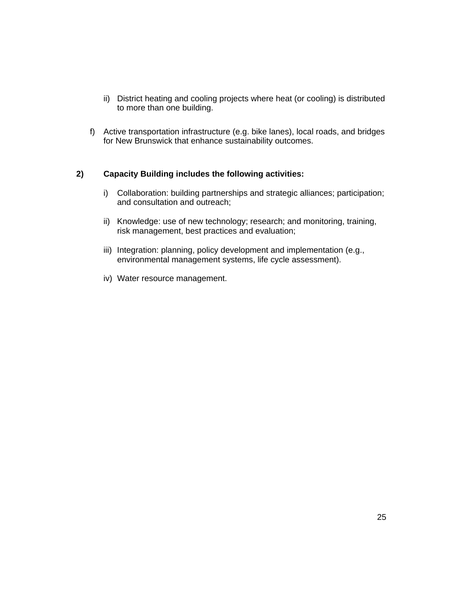- ii) District heating and cooling projects where heat (or cooling) is distributed to more than one building.
- f) Active transportation infrastructure (e.g. bike lanes), local roads, and bridges for New Brunswick that enhance sustainability outcomes.

## **2) Capacity Building includes the following activities:**

- i) Collaboration: building partnerships and strategic alliances; participation; and consultation and outreach;
- ii) Knowledge: use of new technology; research; and monitoring, training, risk management, best practices and evaluation;
- iii) Integration: planning, policy development and implementation (e.g., environmental management systems, life cycle assessment).
- iv) Water resource management.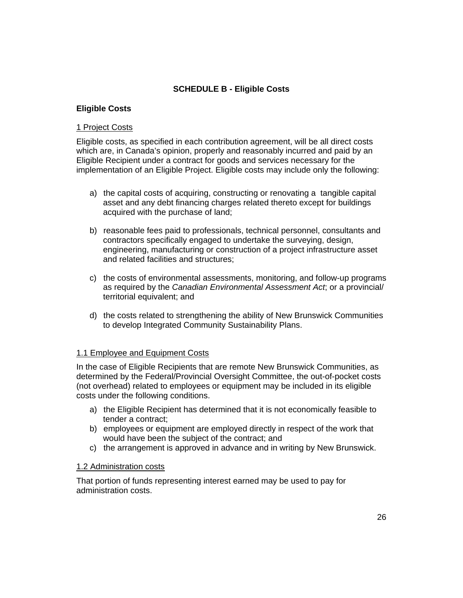## **SCHEDULE B - Eligible Costs**

#### **Eligible Costs**

#### 1 Project Costs

Eligible costs, as specified in each contribution agreement, will be all direct costs which are, in Canada's opinion, properly and reasonably incurred and paid by an Eligible Recipient under a contract for goods and services necessary for the implementation of an Eligible Project. Eligible costs may include only the following:

- a) the capital costs of acquiring, constructing or renovating a tangible capital asset and any debt financing charges related thereto except for buildings acquired with the purchase of land;
- b) reasonable fees paid to professionals, technical personnel, consultants and contractors specifically engaged to undertake the surveying, design, engineering, manufacturing or construction of a project infrastructure asset and related facilities and structures;
- c) the costs of environmental assessments, monitoring, and follow-up programs as required by the *Canadian Environmental Assessment Act*; or a provincial/ territorial equivalent; and
- d) the costs related to strengthening the ability of New Brunswick Communities to develop Integrated Community Sustainability Plans.

#### 1.1 Employee and Equipment Costs

In the case of Eligible Recipients that are remote New Brunswick Communities, as determined by the Federal/Provincial Oversight Committee, the out-of-pocket costs (not overhead) related to employees or equipment may be included in its eligible costs under the following conditions.

- a) the Eligible Recipient has determined that it is not economically feasible to tender a contract;
- b) employees or equipment are employed directly in respect of the work that would have been the subject of the contract; and
- c) the arrangement is approved in advance and in writing by New Brunswick.

#### 1.2 Administration costs

That portion of funds representing interest earned may be used to pay for administration costs.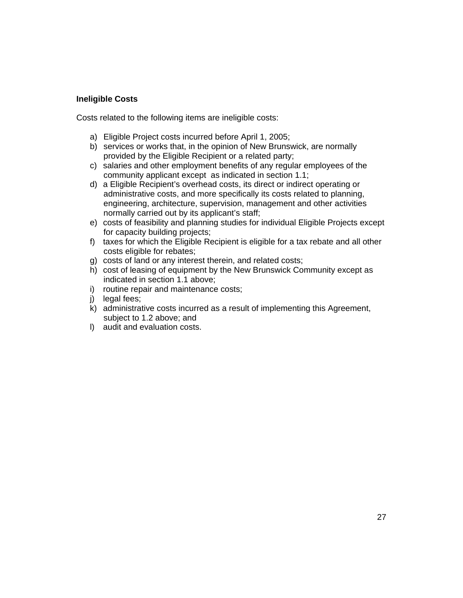## **Ineligible Costs**

Costs related to the following items are ineligible costs:

- a) Eligible Project costs incurred before April 1, 2005;
- b) services or works that, in the opinion of New Brunswick, are normally provided by the Eligible Recipient or a related party;
- c) salaries and other employment benefits of any regular employees of the community applicant except as indicated in section 1.1;
- d) a Eligible Recipient's overhead costs, its direct or indirect operating or administrative costs, and more specifically its costs related to planning, engineering, architecture, supervision, management and other activities normally carried out by its applicant's staff;
- e) costs of feasibility and planning studies for individual Eligible Projects except for capacity building projects;
- f) taxes for which the Eligible Recipient is eligible for a tax rebate and all other costs eligible for rebates;
- g) costs of land or any interest therein, and related costs;
- h) cost of leasing of equipment by the New Brunswick Community except as indicated in section 1.1 above;
- i) routine repair and maintenance costs;
- j) legal fees;
- k) administrative costs incurred as a result of implementing this Agreement, subject to 1.2 above; and
- l) audit and evaluation costs.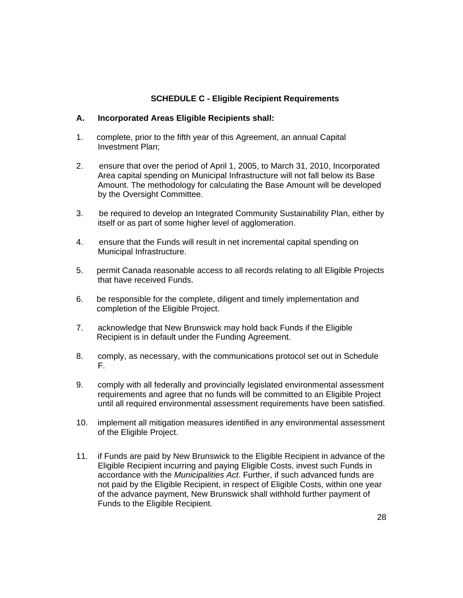## **SCHEDULE C - Eligible Recipient Requirements**

#### **A. Incorporated Areas Eligible Recipients shall:**

- 1. complete, prior to the fifth year of this Agreement, an annual Capital Investment Plan;
- 2. ensure that over the period of April 1, 2005, to March 31, 2010, Incorporated Area capital spending on Municipal Infrastructure will not fall below its Base Amount. The methodology for calculating the Base Amount will be developed by the Oversight Committee.
- 3. be required to develop an Integrated Community Sustainability Plan, either by itself or as part of some higher level of agglomeration.
- 4. ensure that the Funds will result in net incremental capital spending on Municipal Infrastructure.
- 5. permit Canada reasonable access to all records relating to all Eligible Projects that have received Funds.
- 6. be responsible for the complete, diligent and timely implementation and completion of the Eligible Project.
- 7. acknowledge that New Brunswick may hold back Funds if the Eligible Recipient is in default under the Funding Agreement.
- 8. comply, as necessary, with the communications protocol set out in Schedule F.
- 9. comply with all federally and provincially legislated environmental assessment requirements and agree that no funds will be committed to an Eligible Project until all required environmental assessment requirements have been satisfied.
- 10. implement all mitigation measures identified in any environmental assessment of the Eligible Project.
- 11. if Funds are paid by New Brunswick to the Eligible Recipient in advance of the Eligible Recipient incurring and paying Eligible Costs, invest such Funds in accordance with the *Municipalities Act*. Further, if such advanced funds are not paid by the Eligible Recipient, in respect of Eligible Costs, within one year of the advance payment, New Brunswick shall withhold further payment of Funds to the Eligible Recipient.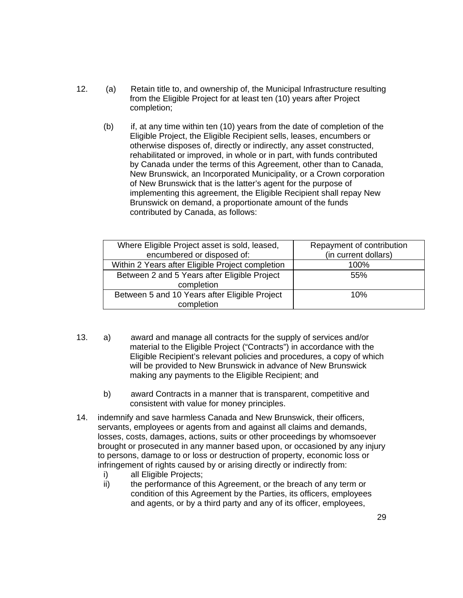- 12. (a) Retain title to, and ownership of, the Municipal Infrastructure resulting from the Eligible Project for at least ten (10) years after Project completion;
	- (b) if, at any time within ten (10) years from the date of completion of the Eligible Project, the Eligible Recipient sells, leases, encumbers or otherwise disposes of, directly or indirectly, any asset constructed, rehabilitated or improved, in whole or in part, with funds contributed by Canada under the terms of this Agreement, other than to Canada, New Brunswick, an Incorporated Municipality, or a Crown corporation of New Brunswick that is the latter's agent for the purpose of implementing this agreement, the Eligible Recipient shall repay New Brunswick on demand, a proportionate amount of the funds contributed by Canada, as follows:

| Where Eligible Project asset is sold, leased,<br>encumbered or disposed of: | Repayment of contribution<br>(in current dollars) |
|-----------------------------------------------------------------------------|---------------------------------------------------|
| Within 2 Years after Eligible Project completion                            | 100%                                              |
| Between 2 and 5 Years after Eligible Project<br>completion                  | .55%                                              |
| Between 5 and 10 Years after Eligible Project<br>completion                 | 10%                                               |

- 13. a) award and manage all contracts for the supply of services and/or material to the Eligible Project ("Contracts") in accordance with the Eligible Recipient's relevant policies and procedures, a copy of which will be provided to New Brunswick in advance of New Brunswick making any payments to the Eligible Recipient; and
	- b) award Contracts in a manner that is transparent, competitive and consistent with value for money principles.
- 14. indemnify and save harmless Canada and New Brunswick, their officers, servants, employees or agents from and against all claims and demands, losses, costs, damages, actions, suits or other proceedings by whomsoever brought or prosecuted in any manner based upon, or occasioned by any injury to persons, damage to or loss or destruction of property, economic loss or infringement of rights caused by or arising directly or indirectly from:
	- i) all Eligible Projects;
	- ii) the performance of this Agreement, or the breach of any term or condition of this Agreement by the Parties, its officers, employees and agents, or by a third party and any of its officer, employees,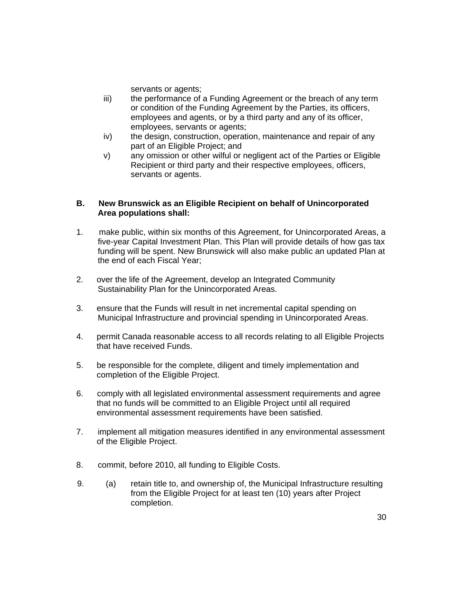servants or agents;

- iii) the performance of a Funding Agreement or the breach of any term or condition of the Funding Agreement by the Parties, its officers, employees and agents, or by a third party and any of its officer, employees, servants or agents;
- iv) the design, construction, operation, maintenance and repair of any part of an Eligible Project; and
- v) any omission or other wilful or negligent act of the Parties or Eligible Recipient or third party and their respective employees, officers, servants or agents.

#### **B. New Brunswick as an Eligible Recipient on behalf of Unincorporated Area populations shall:**

- 1. make public, within six months of this Agreement, for Unincorporated Areas, a five-year Capital Investment Plan. This Plan will provide details of how gas tax funding will be spent. New Brunswick will also make public an updated Plan at the end of each Fiscal Year;
- 2. over the life of the Agreement, develop an Integrated Community Sustainability Plan for the Unincorporated Areas.
- 3. ensure that the Funds will result in net incremental capital spending on Municipal Infrastructure and provincial spending in Unincorporated Areas.
- 4. permit Canada reasonable access to all records relating to all Eligible Projects that have received Funds.
- 5. be responsible for the complete, diligent and timely implementation and completion of the Eligible Project.
- 6. comply with all legislated environmental assessment requirements and agree that no funds will be committed to an Eligible Project until all required environmental assessment requirements have been satisfied.
- 7. implement all mitigation measures identified in any environmental assessment of the Eligible Project.
- 8. commit, before 2010, all funding to Eligible Costs.
- 9. (a) retain title to, and ownership of, the Municipal Infrastructure resulting from the Eligible Project for at least ten (10) years after Project completion.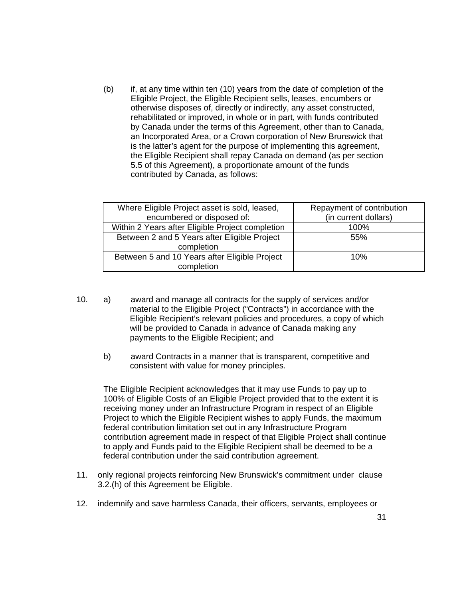(b) if, at any time within ten (10) years from the date of completion of the Eligible Project, the Eligible Recipient sells, leases, encumbers or otherwise disposes of, directly or indirectly, any asset constructed, rehabilitated or improved, in whole or in part, with funds contributed by Canada under the terms of this Agreement, other than to Canada, an Incorporated Area, or a Crown corporation of New Brunswick that is the latter's agent for the purpose of implementing this agreement, the Eligible Recipient shall repay Canada on demand (as per section 5.5 of this Agreement), a proportionate amount of the funds contributed by Canada, as follows:

| Where Eligible Project asset is sold, leased,    | Repayment of contribution |  |
|--------------------------------------------------|---------------------------|--|
| encumbered or disposed of:                       | (in current dollars)      |  |
| Within 2 Years after Eligible Project completion | 100%                      |  |
| Between 2 and 5 Years after Eligible Project     | 55%                       |  |
| completion                                       |                           |  |
| Between 5 and 10 Years after Eligible Project    | 10%                       |  |
| completion                                       |                           |  |

- 10. a) award and manage all contracts for the supply of services and/or material to the Eligible Project ("Contracts") in accordance with the Eligible Recipient's relevant policies and procedures, a copy of which will be provided to Canada in advance of Canada making any payments to the Eligible Recipient; and
	- b) award Contracts in a manner that is transparent, competitive and consistent with value for money principles.

The Eligible Recipient acknowledges that it may use Funds to pay up to 100% of Eligible Costs of an Eligible Project provided that to the extent it is receiving money under an Infrastructure Program in respect of an Eligible Project to which the Eligible Recipient wishes to apply Funds, the maximum federal contribution limitation set out in any Infrastructure Program contribution agreement made in respect of that Eligible Project shall continue to apply and Funds paid to the Eligible Recipient shall be deemed to be a federal contribution under the said contribution agreement.

- 11. only regional projects reinforcing New Brunswick's commitment under clause 3.2.(h) of this Agreement be Eligible.
- 12. indemnify and save harmless Canada, their officers, servants, employees or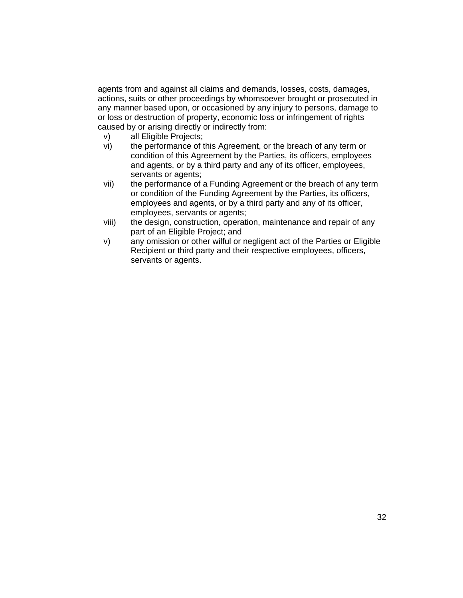agents from and against all claims and demands, losses, costs, damages, actions, suits or other proceedings by whomsoever brought or prosecuted in any manner based upon, or occasioned by any injury to persons, damage to or loss or destruction of property, economic loss or infringement of rights caused by or arising directly or indirectly from:

- v) all Eligible Projects;
- vi) the performance of this Agreement, or the breach of any term or condition of this Agreement by the Parties, its officers, employees and agents, or by a third party and any of its officer, employees, servants or agents;
- vii) the performance of a Funding Agreement or the breach of any term or condition of the Funding Agreement by the Parties, its officers, employees and agents, or by a third party and any of its officer, employees, servants or agents;
- viii) the design, construction, operation, maintenance and repair of any part of an Eligible Project; and
- v) any omission or other wilful or negligent act of the Parties or Eligible Recipient or third party and their respective employees, officers, servants or agents.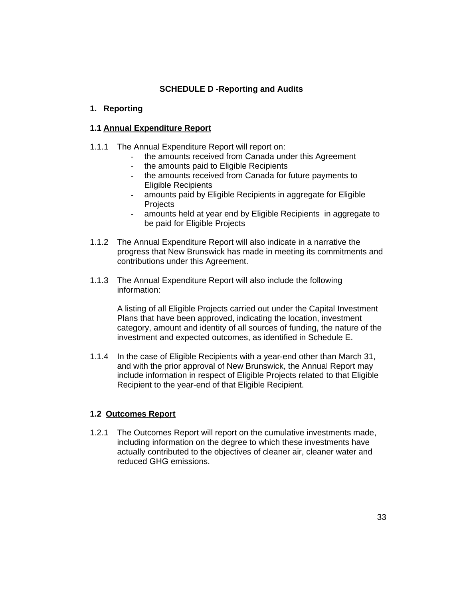## **SCHEDULE D -Reporting and Audits**

## **1. Reporting**

## **1.1 Annual Expenditure Report**

- 1.1.1 The Annual Expenditure Report will report on:
	- the amounts received from Canada under this Agreement
	- the amounts paid to Eligible Recipients
	- the amounts received from Canada for future payments to Eligible Recipients
	- amounts paid by Eligible Recipients in aggregate for Eligible **Projects**
	- amounts held at year end by Eligible Recipients in aggregate to be paid for Eligible Projects
- 1.1.2 The Annual Expenditure Report will also indicate in a narrative the progress that New Brunswick has made in meeting its commitments and contributions under this Agreement.
- 1.1.3 The Annual Expenditure Report will also include the following information:

A listing of all Eligible Projects carried out under the Capital Investment Plans that have been approved, indicating the location, investment category, amount and identity of all sources of funding, the nature of the investment and expected outcomes, as identified in Schedule E.

1.1.4 In the case of Eligible Recipients with a year-end other than March 31, and with the prior approval of New Brunswick, the Annual Report may include information in respect of Eligible Projects related to that Eligible Recipient to the year-end of that Eligible Recipient.

## **1.2 Outcomes Report**

1.2.1 The Outcomes Report will report on the cumulative investments made, including information on the degree to which these investments have actually contributed to the objectives of cleaner air, cleaner water and reduced GHG emissions.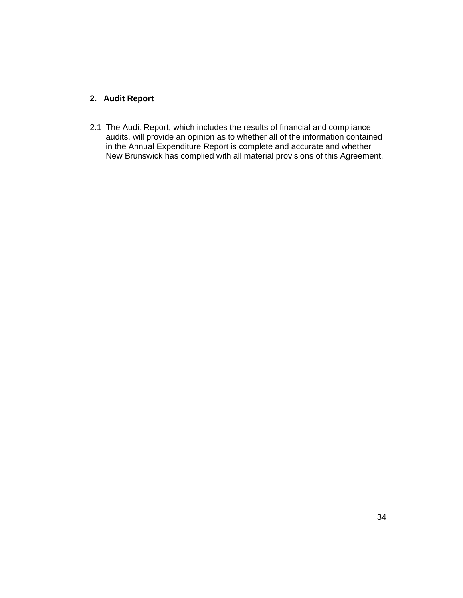## **2. Audit Report**

2.1 The Audit Report, which includes the results of financial and compliance audits, will provide an opinion as to whether all of the information contained in the Annual Expenditure Report is complete and accurate and whether New Brunswick has complied with all material provisions of this Agreement.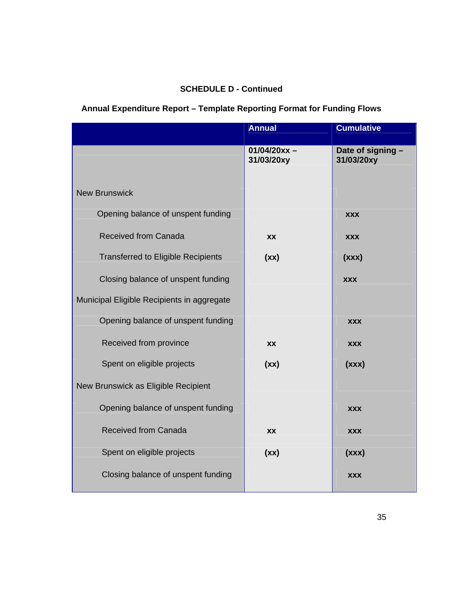## **SCHEDULE D - Continued**

# **Annual Expenditure Report – Template Reporting Format for Funding Flows**

|                                            | <b>Annual</b>                | <b>Cumulative</b>               |
|--------------------------------------------|------------------------------|---------------------------------|
|                                            | $01/04/20xx -$<br>31/03/20xy | Date of signing -<br>31/03/20xy |
| <b>New Brunswick</b>                       |                              |                                 |
| Opening balance of unspent funding         |                              | <b>XXX</b>                      |
| <b>Received from Canada</b>                | <b>XX</b>                    | <b>XXX</b>                      |
| <b>Transferred to Eligible Recipients</b>  | (xx)                         | (xxx)                           |
| Closing balance of unspent funding         |                              | <b>XXX</b>                      |
| Municipal Eligible Recipients in aggregate |                              |                                 |
| Opening balance of unspent funding         |                              | <b>XXX</b>                      |
| Received from province                     | <b>XX</b>                    | <b>XXX</b>                      |
| Spent on eligible projects                 | (xx)                         | (xxx)                           |
| New Brunswick as Eligible Recipient        |                              |                                 |
| Opening balance of unspent funding         |                              | <b>XXX</b>                      |
| <b>Received from Canada</b>                | <b>XX</b>                    | <b>XXX</b>                      |
| Spent on eligible projects                 | (xx)                         | (xxx)                           |
| Closing balance of unspent funding         |                              | <b>XXX</b>                      |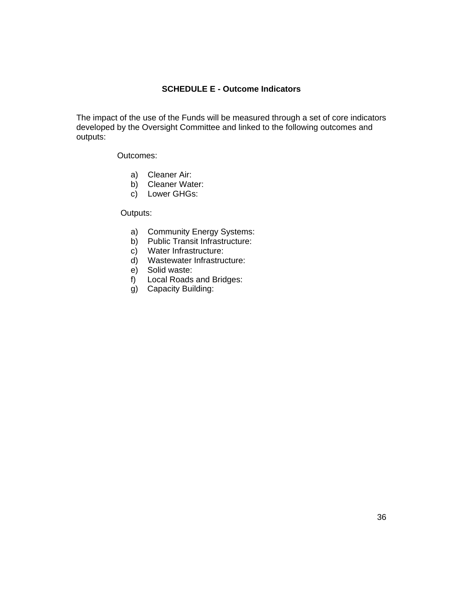## **SCHEDULE E - Outcome Indicators**

The impact of the use of the Funds will be measured through a set of core indicators developed by the Oversight Committee and linked to the following outcomes and outputs:

Outcomes:

- a) Cleaner Air:
- b) Cleaner Water:
- c) Lower GHGs:

#### Outputs:

- a) Community Energy Systems:
- b) Public Transit Infrastructure:
- c) Water Infrastructure:
- d) Wastewater Infrastructure:
- e) Solid waste:
- f) Local Roads and Bridges:
- g) Capacity Building: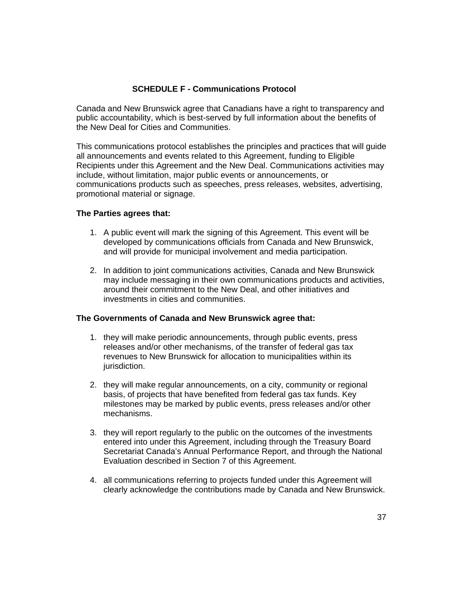## **SCHEDULE F - Communications Protocol**

Canada and New Brunswick agree that Canadians have a right to transparency and public accountability, which is best-served by full information about the benefits of the New Deal for Cities and Communities.

This communications protocol establishes the principles and practices that will guide all announcements and events related to this Agreement, funding to Eligible Recipients under this Agreement and the New Deal. Communications activities may include, without limitation, major public events or announcements, or communications products such as speeches, press releases, websites, advertising, promotional material or signage.

#### **The Parties agrees that:**

- 1. A public event will mark the signing of this Agreement. This event will be developed by communications officials from Canada and New Brunswick, and will provide for municipal involvement and media participation.
- 2. In addition to joint communications activities, Canada and New Brunswick may include messaging in their own communications products and activities, around their commitment to the New Deal, and other initiatives and investments in cities and communities.

#### **The Governments of Canada and New Brunswick agree that:**

- 1. they will make periodic announcements, through public events, press releases and/or other mechanisms, of the transfer of federal gas tax revenues to New Brunswick for allocation to municipalities within its jurisdiction.
- 2. they will make regular announcements, on a city, community or regional basis, of projects that have benefited from federal gas tax funds. Key milestones may be marked by public events, press releases and/or other mechanisms.
- 3. they will report regularly to the public on the outcomes of the investments entered into under this Agreement, including through the Treasury Board Secretariat Canada's Annual Performance Report, and through the National Evaluation described in Section 7 of this Agreement.
- 4. all communications referring to projects funded under this Agreement will clearly acknowledge the contributions made by Canada and New Brunswick.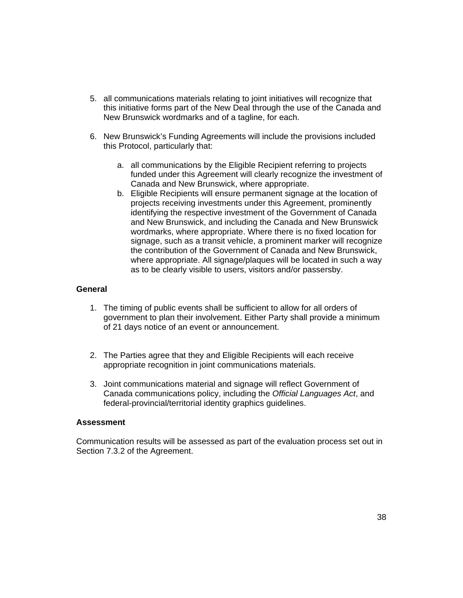- 5. all communications materials relating to joint initiatives will recognize that this initiative forms part of the New Deal through the use of the Canada and New Brunswick wordmarks and of a tagline, for each.
- 6. New Brunswick's Funding Agreements will include the provisions included this Protocol, particularly that:
	- a. all communications by the Eligible Recipient referring to projects funded under this Agreement will clearly recognize the investment of Canada and New Brunswick, where appropriate.
	- b. Eligible Recipients will ensure permanent signage at the location of projects receiving investments under this Agreement, prominently identifying the respective investment of the Government of Canada and New Brunswick, and including the Canada and New Brunswick wordmarks, where appropriate. Where there is no fixed location for signage, such as a transit vehicle, a prominent marker will recognize the contribution of the Government of Canada and New Brunswick, where appropriate. All signage/plaques will be located in such a way as to be clearly visible to users, visitors and/or passersby.

#### **General**

- 1. The timing of public events shall be sufficient to allow for all orders of government to plan their involvement. Either Party shall provide a minimum of 21 days notice of an event or announcement.
- 2. The Parties agree that they and Eligible Recipients will each receive appropriate recognition in joint communications materials.
- 3. Joint communications material and signage will reflect Government of Canada communications policy, including the *Official Languages Act*, and federal-provincial/territorial identity graphics guidelines.

#### **Assessment**

Communication results will be assessed as part of the evaluation process set out in Section 7.3.2 of the Agreement.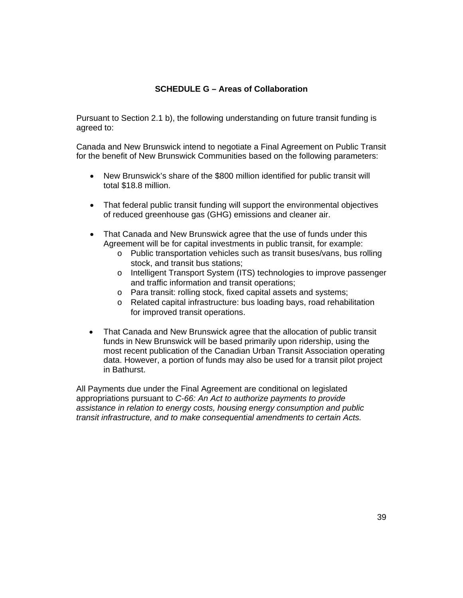## **SCHEDULE G – Areas of Collaboration**

Pursuant to Section 2.1 b), the following understanding on future transit funding is agreed to:

Canada and New Brunswick intend to negotiate a Final Agreement on Public Transit for the benefit of New Brunswick Communities based on the following parameters:

- New Brunswick's share of the \$800 million identified for public transit will total \$18.8 million.
- That federal public transit funding will support the environmental objectives of reduced greenhouse gas (GHG) emissions and cleaner air.
- That Canada and New Brunswick agree that the use of funds under this Agreement will be for capital investments in public transit, for example:
	- o Public transportation vehicles such as transit buses/vans, bus rolling stock, and transit bus stations;
	- o Intelligent Transport System (ITS) technologies to improve passenger and traffic information and transit operations;
	- o Para transit: rolling stock, fixed capital assets and systems;
	- o Related capital infrastructure: bus loading bays, road rehabilitation for improved transit operations.
- That Canada and New Brunswick agree that the allocation of public transit funds in New Brunswick will be based primarily upon ridership, using the most recent publication of the Canadian Urban Transit Association operating data. However, a portion of funds may also be used for a transit pilot project in Bathurst.

All Payments due under the Final Agreement are conditional on legislated appropriations pursuant to *C-66: An Act to authorize payments to provide assistance in relation to energy costs, housing energy consumption and public transit infrastructure, and to make consequential amendments to certain Acts.*